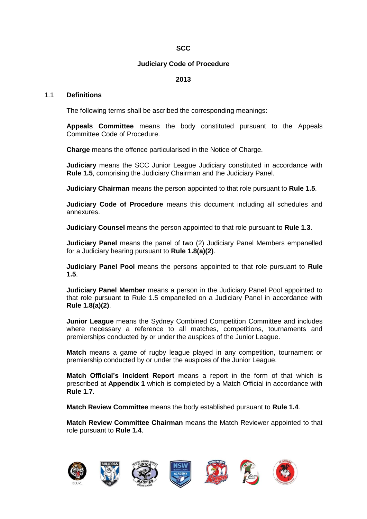# **SCC**

### **Judiciary Code of Procedure**

# **2013**

#### 1.1 **Definitions**

The following terms shall be ascribed the corresponding meanings:

**Appeals Committee** means the body constituted pursuant to the Appeals Committee Code of Procedure.

**Charge** means the offence particularised in the Notice of Charge.

**Judiciary** means the SCC Junior League Judiciary constituted in accordance with **Rule 1.5**, comprising the Judiciary Chairman and the Judiciary Panel.

**Judiciary Chairman** means the person appointed to that role pursuant to **Rule 1.5**.

**Judiciary Code of Procedure** means this document including all schedules and annexures.

**Judiciary Counsel** means the person appointed to that role pursuant to **Rule 1.3**.

**Judiciary Panel** means the panel of two (2) Judiciary Panel Members empanelled for a Judiciary hearing pursuant to **Rule 1.8(a)(2)**.

**Judiciary Panel Pool** means the persons appointed to that role pursuant to **Rule 1.5**.

**Judiciary Panel Member** means a person in the Judiciary Panel Pool appointed to that role pursuant to Rule 1.5 empanelled on a Judiciary Panel in accordance with **Rule 1.8(a)(2)**.

**Junior League** means the Sydney Combined Competition Committee and includes where necessary a reference to all matches, competitions, tournaments and premierships conducted by or under the auspices of the Junior League.

**Match** means a game of rugby league played in any competition, tournament or premiership conducted by or under the auspices of the Junior League.

**Match Official's Incident Report** means a report in the form of that which is prescribed at **Appendix 1** which is completed by a Match Official in accordance with **Rule 1.7**.

**Match Review Committee** means the body established pursuant to **Rule 1.4**.

**Match Review Committee Chairman** means the Match Reviewer appointed to that role pursuant to **Rule 1.4**.

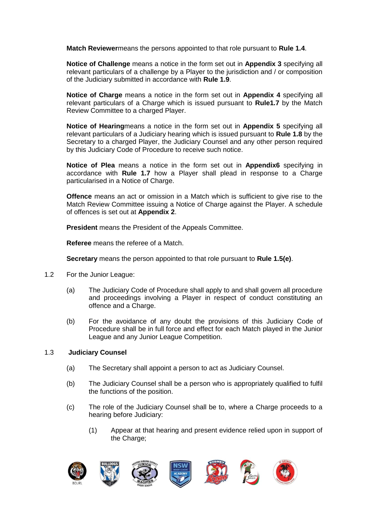**Match Reviewer**means the persons appointed to that role pursuant to **Rule 1.4**.

**Notice of Challenge** means a notice in the form set out in **Appendix 3** specifying all relevant particulars of a challenge by a Player to the jurisdiction and / or composition of the Judiciary submitted in accordance with **Rule 1.9**.

**Notice of Charge** means a notice in the form set out in **Appendix 4** specifying all relevant particulars of a Charge which is issued pursuant to **Rule1.7** by the Match Review Committee to a charged Player.

**Notice of Hearing**means a notice in the form set out in **Appendix 5** specifying all relevant particulars of a Judiciary hearing which is issued pursuant to **Rule 1.8** by the Secretary to a charged Player, the Judiciary Counsel and any other person required by this Judiciary Code of Procedure to receive such notice.

**Notice of Plea** means a notice in the form set out in **Appendix6** specifying in accordance with **Rule 1.7** how a Player shall plead in response to a Charge particularised in a Notice of Charge.

**Offence** means an act or omission in a Match which is sufficient to give rise to the Match Review Committee issuing a Notice of Charge against the Player. A schedule of offences is set out at **Appendix 2**.

**President** means the President of the Appeals Committee.

**Referee** means the referee of a Match.

**Secretary** means the person appointed to that role pursuant to **Rule 1.5(e)**.

- 1.2 For the Junior League:
	- (a) The Judiciary Code of Procedure shall apply to and shall govern all procedure and proceedings involving a Player in respect of conduct constituting an offence and a Charge.
	- (b) For the avoidance of any doubt the provisions of this Judiciary Code of Procedure shall be in full force and effect for each Match played in the Junior League and any Junior League Competition.

## 1.3 **Judiciary Counsel**

- (a) The Secretary shall appoint a person to act as Judiciary Counsel.
- (b) The Judiciary Counsel shall be a person who is appropriately qualified to fulfil the functions of the position.
- (c) The role of the Judiciary Counsel shall be to, where a Charge proceeds to a hearing before Judiciary:
	- (1) Appear at that hearing and present evidence relied upon in support of the Charge;

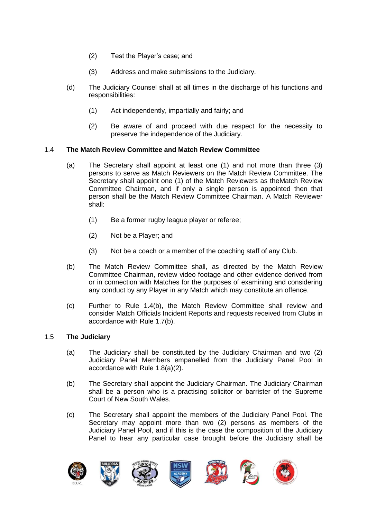- (2) Test the Player's case; and
- (3) Address and make submissions to the Judiciary.
- (d) The Judiciary Counsel shall at all times in the discharge of his functions and responsibilities:
	- (1) Act independently, impartially and fairly; and
	- (2) Be aware of and proceed with due respect for the necessity to preserve the independence of the Judiciary.

# 1.4 **The Match Review Committee and Match Review Committee**

- (a) The Secretary shall appoint at least one (1) and not more than three (3) persons to serve as Match Reviewers on the Match Review Committee. The Secretary shall appoint one (1) of the Match Reviewers as theMatch Review Committee Chairman, and if only a single person is appointed then that person shall be the Match Review Committee Chairman. A Match Reviewer shall:
	- (1) Be a former rugby league player or referee;
	- (2) Not be a Player; and
	- (3) Not be a coach or a member of the coaching staff of any Club.
- (b) The Match Review Committee shall, as directed by the Match Review Committee Chairman, review video footage and other evidence derived from or in connection with Matches for the purposes of examining and considering any conduct by any Player in any Match which may constitute an offence.
- (c) Further to Rule 1.4(b), the Match Review Committee shall review and consider Match Officials Incident Reports and requests received from Clubs in accordance with Rule 1.7(b).

## 1.5 **The Judiciary**

- (a) The Judiciary shall be constituted by the Judiciary Chairman and two (2) Judiciary Panel Members empanelled from the Judiciary Panel Pool in accordance with Rule 1.8(a)(2).
- (b) The Secretary shall appoint the Judiciary Chairman. The Judiciary Chairman shall be a person who is a practising solicitor or barrister of the Supreme Court of New South Wales.
- (c) The Secretary shall appoint the members of the Judiciary Panel Pool. The Secretary may appoint more than two (2) persons as members of the Judiciary Panel Pool, and if this is the case the composition of the Judiciary Panel to hear any particular case brought before the Judiciary shall be

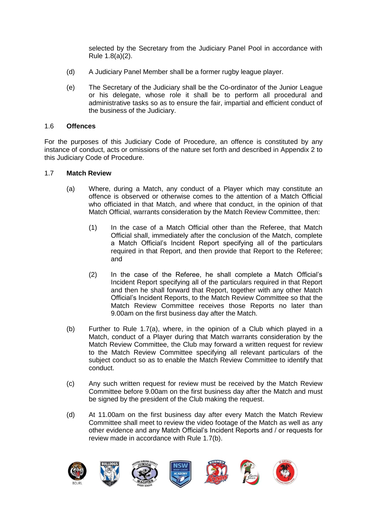selected by the Secretary from the Judiciary Panel Pool in accordance with Rule 1.8(a)(2).

- (d) A Judiciary Panel Member shall be a former rugby league player.
- (e) The Secretary of the Judiciary shall be the Co-ordinator of the Junior League or his delegate, whose role it shall be to perform all procedural and administrative tasks so as to ensure the fair, impartial and efficient conduct of the business of the Judiciary.

### 1.6 **Offences**

For the purposes of this Judiciary Code of Procedure, an offence is constituted by any instance of conduct, acts or omissions of the nature set forth and described in Appendix 2 to this Judiciary Code of Procedure.

#### 1.7 **Match Review**

- (a) Where, during a Match, any conduct of a Player which may constitute an offence is observed or otherwise comes to the attention of a Match Official who officiated in that Match, and where that conduct, in the opinion of that Match Official, warrants consideration by the Match Review Committee, then:
	- (1) In the case of a Match Official other than the Referee, that Match Official shall, immediately after the conclusion of the Match, complete a Match Official's Incident Report specifying all of the particulars required in that Report, and then provide that Report to the Referee; and
	- (2) In the case of the Referee, he shall complete a Match Official's Incident Report specifying all of the particulars required in that Report and then he shall forward that Report, together with any other Match Official's Incident Reports, to the Match Review Committee so that the Match Review Committee receives those Reports no later than 9.00am on the first business day after the Match.
- (b) Further to Rule 1.7(a), where, in the opinion of a Club which played in a Match, conduct of a Player during that Match warrants consideration by the Match Review Committee, the Club may forward a written request for review to the Match Review Committee specifying all relevant particulars of the subject conduct so as to enable the Match Review Committee to identify that conduct.
- (c) Any such written request for review must be received by the Match Review Committee before 9.00am on the first business day after the Match and must be signed by the president of the Club making the request.
- (d) At 11.00am on the first business day after every Match the Match Review Committee shall meet to review the video footage of the Match as well as any other evidence and any Match Official's Incident Reports and / or requests for review made in accordance with Rule 1.7(b).

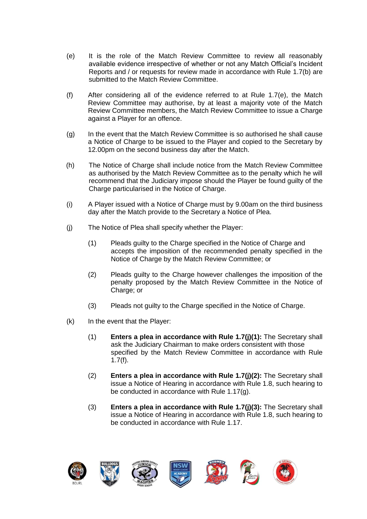- (e) It is the role of the Match Review Committee to review all reasonably available evidence irrespective of whether or not any Match Official's Incident Reports and / or requests for review made in accordance with Rule 1.7(b) are submitted to the Match Review Committee.
- (f) After considering all of the evidence referred to at Rule 1.7(e), the Match Review Committee may authorise, by at least a majority vote of the Match Review Committee members, the Match Review Committee to issue a Charge against a Player for an offence.
- (g) In the event that the Match Review Committee is so authorised he shall cause a Notice of Charge to be issued to the Player and copied to the Secretary by 12.00pm on the second business day after the Match.
- (h) The Notice of Charge shall include notice from the Match Review Committee as authorised by the Match Review Committee as to the penalty which he will recommend that the Judiciary impose should the Player be found guilty of the Charge particularised in the Notice of Charge.
- (i) A Player issued with a Notice of Charge must by 9.00am on the third business day after the Match provide to the Secretary a Notice of Plea.
- (j) The Notice of Plea shall specify whether the Player:
	- (1) Pleads guilty to the Charge specified in the Notice of Charge and accepts the imposition of the recommended penalty specified in the Notice of Charge by the Match Review Committee; or
	- (2) Pleads guilty to the Charge however challenges the imposition of the penalty proposed by the Match Review Committee in the Notice of Charge; or
	- (3) Pleads not guilty to the Charge specified in the Notice of Charge.
- (k) In the event that the Player:
	- (1) **Enters a plea in accordance with Rule 1.7(j)(1):** The Secretary shall ask the Judiciary Chairman to make orders consistent with those specified by the Match Review Committee in accordance with Rule 1.7(f).
	- (2) **Enters a plea in accordance with Rule 1.7(j)(2):** The Secretary shall issue a Notice of Hearing in accordance with Rule 1.8, such hearing to be conducted in accordance with Rule 1.17(g).
	- (3) **Enters a plea in accordance with Rule 1.7(j)(3):** The Secretary shall issue a Notice of Hearing in accordance with Rule 1.8, such hearing to be conducted in accordance with Rule 1.17.

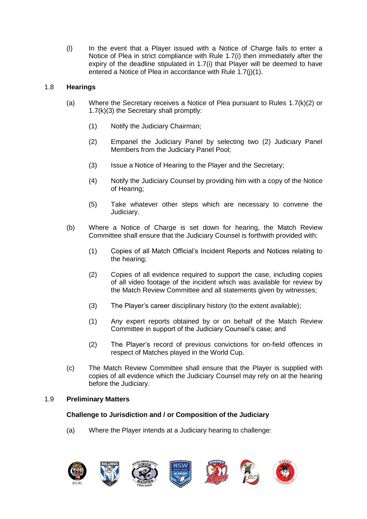(l) In the event that a Player issued with a Notice of Charge fails to enter a Notice of Plea in strict compliance with Rule 1.7(i) then immediately after the expiry of the deadline stipulated in 1.7(i) that Player will be deemed to have entered a Notice of Plea in accordance with Rule 1.7(j)(1).

# 1.8 **Hearings**

- (a) Where the Secretary receives a Notice of Plea pursuant to Rules 1.7(k)(2) or 1.7(k)(3) the Secretary shall promptly:
	- (1) Notify the Judiciary Chairman;
	- (2) Empanel the Judiciary Panel by selecting two (2) Judiciary Panel Members from the Judiciary Panel Pool;
	- (3) Issue a Notice of Hearing to the Player and the Secretary;
	- (4) Notify the Judiciary Counsel by providing him with a copy of the Notice of Hearing;
	- (5) Take whatever other steps which are necessary to convene the Judiciary.
- (b) Where a Notice of Charge is set down for hearing, the Match Review Committee shall ensure that the Judiciary Counsel is forthwith provided with:
	- (1) Copies of all Match Official's Incident Reports and Notices relating to the hearing;
	- (2) Copies of all evidence required to support the case, including copies of all video footage of the incident which was available for review by the Match Review Committee and all statements given by witnesses;
	- (3) The Player's career disciplinary history (to the extent available);
	- (1) Any expert reports obtained by or on behalf of the Match Review Committee in support of the Judiciary Counsel's case; and
	- (2) The Player's record of previous convictions for on-field offences in respect of Matches played in the World Cup.
- (c) The Match Review Committee shall ensure that the Player is supplied with copies of all evidence which the Judiciary Counsel may rely on at the hearing before the Judiciary.

## 1.9 **Preliminary Matters**

# **Challenge to Jurisdiction and / or Composition of the Judiciary**

(a) Where the Player intends at a Judiciary hearing to challenge:

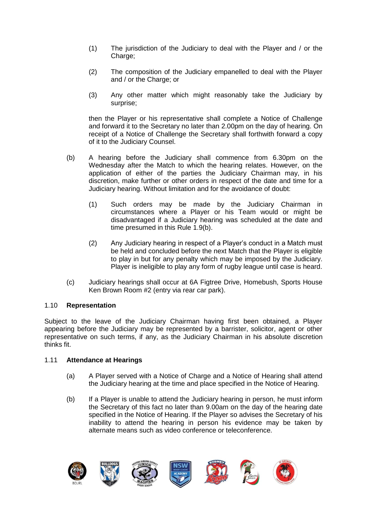- (1) The jurisdiction of the Judiciary to deal with the Player and / or the Charge:
- (2) The composition of the Judiciary empanelled to deal with the Player and / or the Charge; or
- (3) Any other matter which might reasonably take the Judiciary by surprise;

then the Player or his representative shall complete a Notice of Challenge and forward it to the Secretary no later than 2.00pm on the day of hearing. On receipt of a Notice of Challenge the Secretary shall forthwith forward a copy of it to the Judiciary Counsel.

- (b) A hearing before the Judiciary shall commence from 6.30pm on the Wednesday after the Match to which the hearing relates. However, on the application of either of the parties the Judiciary Chairman may, in his discretion, make further or other orders in respect of the date and time for a Judiciary hearing. Without limitation and for the avoidance of doubt:
	- (1) Such orders may be made by the Judiciary Chairman in circumstances where a Player or his Team would or might be disadvantaged if a Judiciary hearing was scheduled at the date and time presumed in this Rule 1.9(b).
	- (2) Any Judiciary hearing in respect of a Player's conduct in a Match must be held and concluded before the next Match that the Player is eligible to play in but for any penalty which may be imposed by the Judiciary. Player is ineligible to play any form of rugby league until case is heard.
- (c) Judiciary hearings shall occur at 6A Figtree Drive, Homebush, Sports House Ken Brown Room #2 (entry via rear car park).

## 1.10 **Representation**

Subject to the leave of the Judiciary Chairman having first been obtained, a Player appearing before the Judiciary may be represented by a barrister, solicitor, agent or other representative on such terms, if any, as the Judiciary Chairman in his absolute discretion thinks fit.

## 1.11 **Attendance at Hearings**

- (a) A Player served with a Notice of Charge and a Notice of Hearing shall attend the Judiciary hearing at the time and place specified in the Notice of Hearing.
- (b) If a Player is unable to attend the Judiciary hearing in person, he must inform the Secretary of this fact no later than 9.00am on the day of the hearing date specified in the Notice of Hearing. If the Player so advises the Secretary of his inability to attend the hearing in person his evidence may be taken by alternate means such as video conference or teleconference.

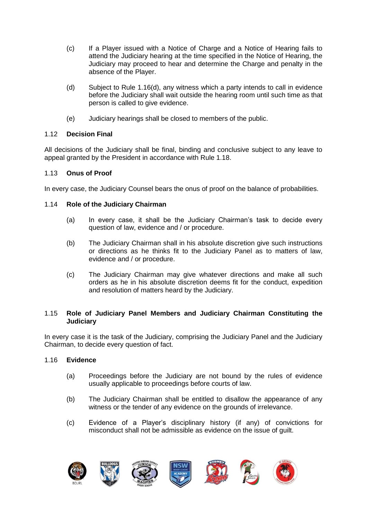- (c) If a Player issued with a Notice of Charge and a Notice of Hearing fails to attend the Judiciary hearing at the time specified in the Notice of Hearing, the Judiciary may proceed to hear and determine the Charge and penalty in the absence of the Player.
- (d) Subject to Rule 1.16(d), any witness which a party intends to call in evidence before the Judiciary shall wait outside the hearing room until such time as that person is called to give evidence.
- (e) Judiciary hearings shall be closed to members of the public.

# 1.12 **Decision Final**

All decisions of the Judiciary shall be final, binding and conclusive subject to any leave to appeal granted by the President in accordance with Rule 1.18.

# 1.13 **Onus of Proof**

In every case, the Judiciary Counsel bears the onus of proof on the balance of probabilities.

# 1.14 **Role of the Judiciary Chairman**

- (a) In every case, it shall be the Judiciary Chairman's task to decide every question of law, evidence and / or procedure.
- (b) The Judiciary Chairman shall in his absolute discretion give such instructions or directions as he thinks fit to the Judiciary Panel as to matters of law, evidence and / or procedure.
- (c) The Judiciary Chairman may give whatever directions and make all such orders as he in his absolute discretion deems fit for the conduct, expedition and resolution of matters heard by the Judiciary.

## 1.15 **Role of Judiciary Panel Members and Judiciary Chairman Constituting the Judiciary**

In every case it is the task of the Judiciary, comprising the Judiciary Panel and the Judiciary Chairman, to decide every question of fact.

## 1.16 **Evidence**

- (a) Proceedings before the Judiciary are not bound by the rules of evidence usually applicable to proceedings before courts of law.
- (b) The Judiciary Chairman shall be entitled to disallow the appearance of any witness or the tender of any evidence on the grounds of irrelevance.
- (c) Evidence of a Player's disciplinary history (if any) of convictions for misconduct shall not be admissible as evidence on the issue of guilt.

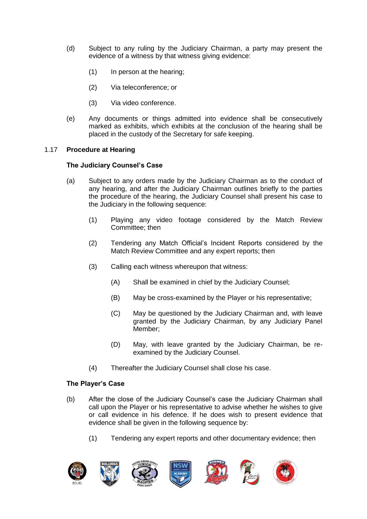- (d) Subject to any ruling by the Judiciary Chairman, a party may present the evidence of a witness by that witness giving evidence:
	- (1) In person at the hearing;
	- (2) Via teleconference; or
	- (3) Via video conference.
- (e) Any documents or things admitted into evidence shall be consecutively marked as exhibits, which exhibits at the conclusion of the hearing shall be placed in the custody of the Secretary for safe keeping.

## 1.17 **Procedure at Hearing**

## **The Judiciary Counsel's Case**

- (a) Subject to any orders made by the Judiciary Chairman as to the conduct of any hearing, and after the Judiciary Chairman outlines briefly to the parties the procedure of the hearing, the Judiciary Counsel shall present his case to the Judiciary in the following sequence:
	- (1) Playing any video footage considered by the Match Review Committee; then
	- (2) Tendering any Match Official's Incident Reports considered by the Match Review Committee and any expert reports; then
	- (3) Calling each witness whereupon that witness:
		- (A) Shall be examined in chief by the Judiciary Counsel;
		- (B) May be cross-examined by the Player or his representative;
		- (C) May be questioned by the Judiciary Chairman and, with leave granted by the Judiciary Chairman, by any Judiciary Panel Member;
		- (D) May, with leave granted by the Judiciary Chairman, be reexamined by the Judiciary Counsel.
	- (4) Thereafter the Judiciary Counsel shall close his case.

## **The Player's Case**

- (b) After the close of the Judiciary Counsel's case the Judiciary Chairman shall call upon the Player or his representative to advise whether he wishes to give or call evidence in his defence. If he does wish to present evidence that evidence shall be given in the following sequence by:
	- (1) Tendering any expert reports and other documentary evidence; then

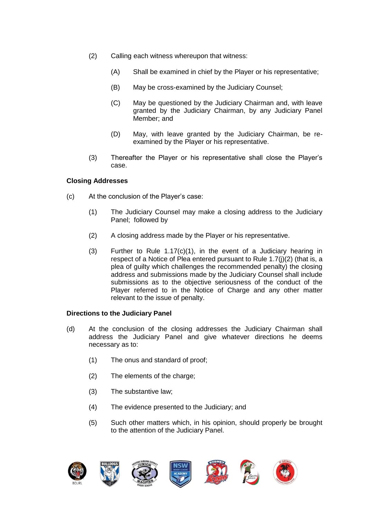- (2) Calling each witness whereupon that witness:
	- (A) Shall be examined in chief by the Player or his representative;
	- (B) May be cross-examined by the Judiciary Counsel;
	- (C) May be questioned by the Judiciary Chairman and, with leave granted by the Judiciary Chairman, by any Judiciary Panel Member; and
	- (D) May, with leave granted by the Judiciary Chairman, be reexamined by the Player or his representative.
- (3) Thereafter the Player or his representative shall close the Player's case.

# **Closing Addresses**

- (c) At the conclusion of the Player's case:
	- (1) The Judiciary Counsel may make a closing address to the Judiciary Panel; followed by
	- (2) A closing address made by the Player or his representative.
	- (3) Further to Rule 1.17(c)(1), in the event of a Judiciary hearing in respect of a Notice of Plea entered pursuant to Rule 1.7(j)(2) (that is, a plea of guilty which challenges the recommended penalty) the closing address and submissions made by the Judiciary Counsel shall include submissions as to the objective seriousness of the conduct of the Player referred to in the Notice of Charge and any other matter relevant to the issue of penalty.

## **Directions to the Judiciary Panel**

- (d) At the conclusion of the closing addresses the Judiciary Chairman shall address the Judiciary Panel and give whatever directions he deems necessary as to:
	- (1) The onus and standard of proof;
	- (2) The elements of the charge:
	- (3) The substantive law;
	- (4) The evidence presented to the Judiciary; and
	- (5) Such other matters which, in his opinion, should properly be brought to the attention of the Judiciary Panel.

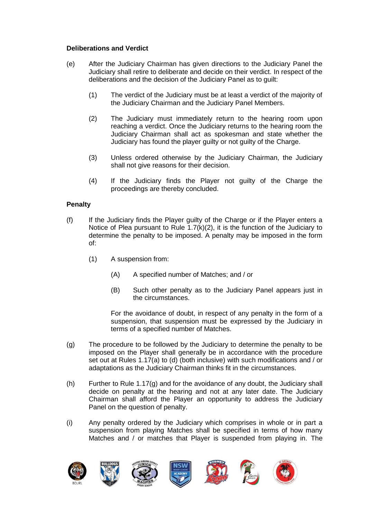# **Deliberations and Verdict**

- (e) After the Judiciary Chairman has given directions to the Judiciary Panel the Judiciary shall retire to deliberate and decide on their verdict. In respect of the deliberations and the decision of the Judiciary Panel as to guilt:
	- (1) The verdict of the Judiciary must be at least a verdict of the majority of the Judiciary Chairman and the Judiciary Panel Members.
	- (2) The Judiciary must immediately return to the hearing room upon reaching a verdict. Once the Judiciary returns to the hearing room the Judiciary Chairman shall act as spokesman and state whether the Judiciary has found the player guilty or not guilty of the Charge.
	- (3) Unless ordered otherwise by the Judiciary Chairman, the Judiciary shall not give reasons for their decision.
	- (4) If the Judiciary finds the Player not guilty of the Charge the proceedings are thereby concluded.

# **Penalty**

- (f) If the Judiciary finds the Player guilty of the Charge or if the Player enters a Notice of Plea pursuant to Rule  $1.7(k)(2)$ , it is the function of the Judiciary to determine the penalty to be imposed. A penalty may be imposed in the form of:
	- (1) A suspension from:
		- (A) A specified number of Matches; and / or
		- (B) Such other penalty as to the Judiciary Panel appears just in the circumstances.

For the avoidance of doubt, in respect of any penalty in the form of a suspension, that suspension must be expressed by the Judiciary in terms of a specified number of Matches.

- (g) The procedure to be followed by the Judiciary to determine the penalty to be imposed on the Player shall generally be in accordance with the procedure set out at Rules 1.17(a) to (d) (both inclusive) with such modifications and / or adaptations as the Judiciary Chairman thinks fit in the circumstances.
- (h) Further to Rule 1.17(g) and for the avoidance of any doubt, the Judiciary shall decide on penalty at the hearing and not at any later date. The Judiciary Chairman shall afford the Player an opportunity to address the Judiciary Panel on the question of penalty.
- (i) Any penalty ordered by the Judiciary which comprises in whole or in part a suspension from playing Matches shall be specified in terms of how many Matches and / or matches that Player is suspended from playing in. The